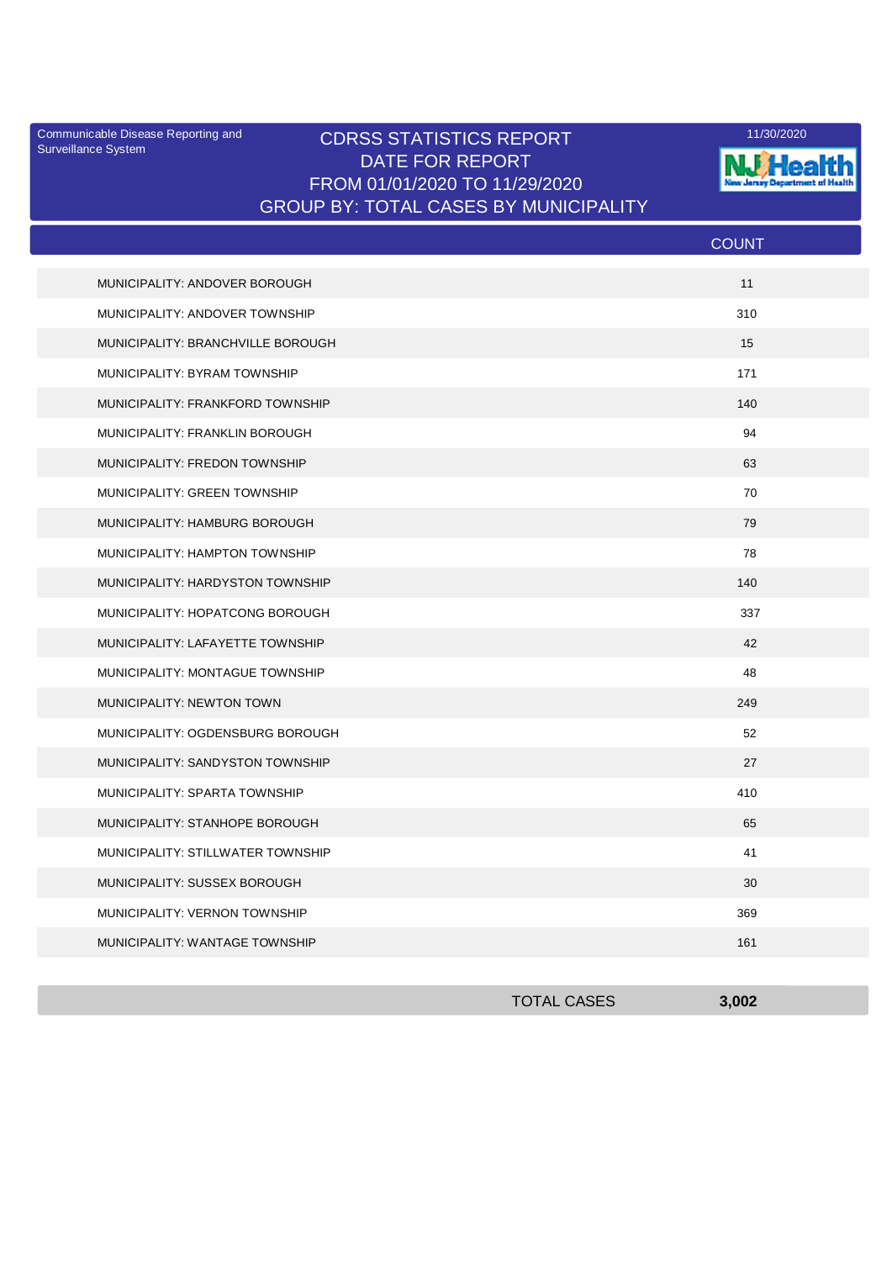Surveillance System

## Communicable Disease Reporting and **CDRSS STATISTICS REPORT** 11/30/2020<br>Surveillance Statem DATE FOR REPORT FROM 01/01/2020 TO 11/29/2020 GROUP BY: TOTAL CASES BY MUNICIPALITY



|                                   | <b>COUNT</b> |
|-----------------------------------|--------------|
| MUNICIPALITY: ANDOVER BOROUGH     | 11           |
| MUNICIPALITY: ANDOVER TOWNSHIP    | 310          |
| MUNICIPALITY: BRANCHVILLE BOROUGH | 15           |
| MUNICIPALITY: BYRAM TOWNSHIP      | 171          |
| MUNICIPALITY: FRANKFORD TOWNSHIP  | 140          |
| MUNICIPALITY: FRANKLIN BOROUGH    | 94           |
| MUNICIPALITY: FREDON TOWNSHIP     | 63           |
| MUNICIPALITY: GREEN TOWNSHIP      | 70           |
| MUNICIPALITY: HAMBURG BOROUGH     | 79           |
| MUNICIPALITY: HAMPTON TOWNSHIP    | 78           |
| MUNICIPALITY: HARDYSTON TOWNSHIP  | 140          |
| MUNICIPALITY: HOPATCONG BOROUGH   | 337          |
| MUNICIPALITY: LAFAYETTE TOWNSHIP  | 42           |
| MUNICIPALITY: MONTAGUE TOWNSHIP   | 48           |
| MUNICIPALITY: NEWTON TOWN         | 249          |
| MUNICIPALITY: OGDENSBURG BOROUGH  | 52           |
| MUNICIPALITY: SANDYSTON TOWNSHIP  | 27           |
| MUNICIPALITY: SPARTA TOWNSHIP     | 410          |
| MUNICIPALITY: STANHOPE BOROUGH    | 65           |
| MUNICIPALITY: STILLWATER TOWNSHIP | 41           |
| MUNICIPALITY: SUSSEX BOROUGH      | 30           |
| MUNICIPALITY: VERNON TOWNSHIP     | 369          |
| MUNICIPALITY: WANTAGE TOWNSHIP    | 161          |

| <b>TOTAL CASES</b> | 3,002 |
|--------------------|-------|
|                    |       |